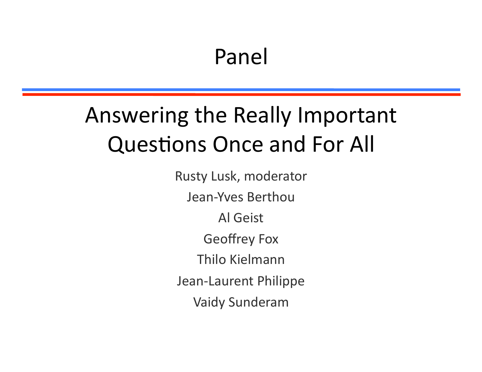#### Panel

#### Answering the Really Important Questions Once and For All

Rusty Lusk, moderator Jean-Yves Berthou Al Geist Geoffrey Fox Thilo Kielmann Jean-Laurent Philippe Vaidy Sunderam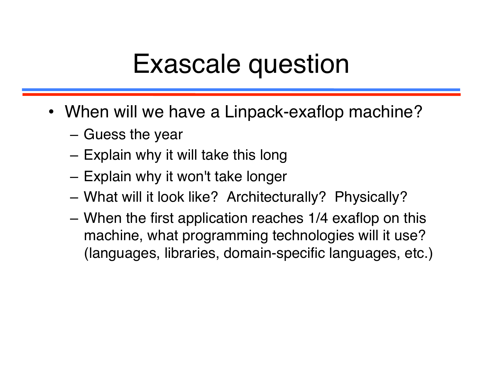## Exascale question

- When will we have a Linpack-exaflop machine?
	- Guess the year
	- Explain why it will take this long
	- Explain why it won't take longer
	- What will it look like? Architecturally? Physically?
	- When the first application reaches 1/4 exaflop on this machine, what programming technologies will it use? (languages, libraries, domain-specific languages, etc.)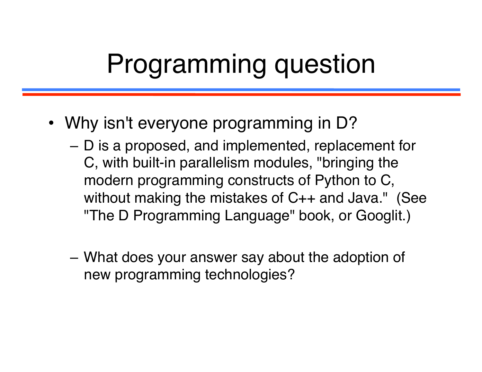# Programming question

- Why isn't everyone programming in D?
	- D is a proposed, and implemented, replacement for C, with built-in parallelism modules, "bringing the modern programming constructs of Python to C, without making the mistakes of C++ and Java." (See "The D Programming Language" book, or Googlit.)
	- What does your answer say about the adoption of new programming technologies?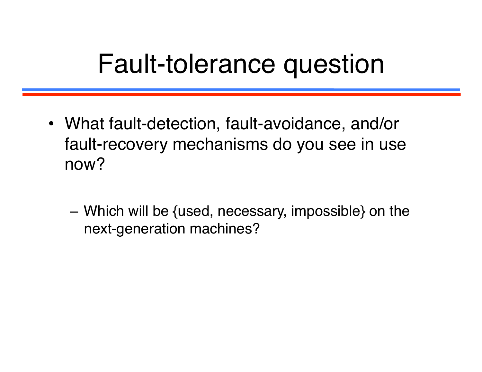## Fault-tolerance question

- What fault-detection, fault-avoidance, and/or fault-recovery mechanisms do you see in use now?
	- Which will be {used, necessary, impossible} on the next-generation machines?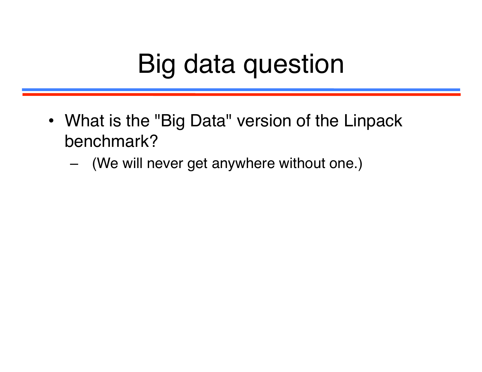# Big data question

- What is the "Big Data" version of the Linpack benchmark?
	- (We will never get anywhere without one.)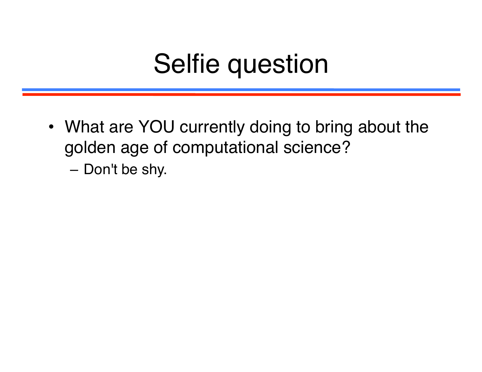## Selfie question

- What are YOU currently doing to bring about the golden age of computational science?
	- Don't be shy.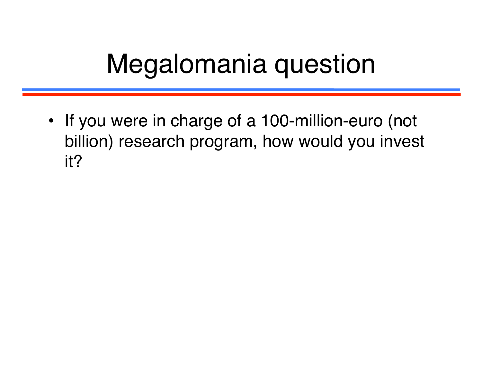# Megalomania question

• If you were in charge of a 100-million-euro (not billion) research program, how would you invest it?